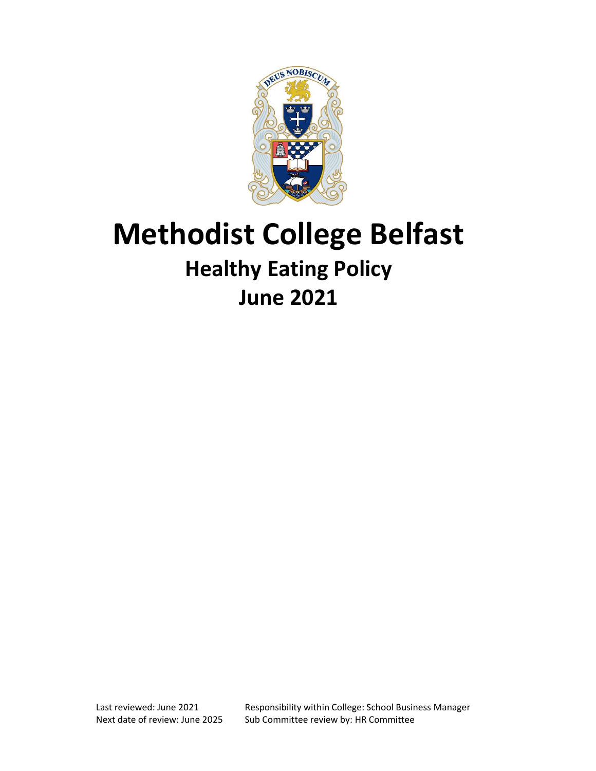

# Methodist College Belfast Healthy Eating Policy June 2021

Last reviewed: June 2021 Responsibility within College: School Business Manager Next date of review: June 2025 Sub Committee review by: HR Committee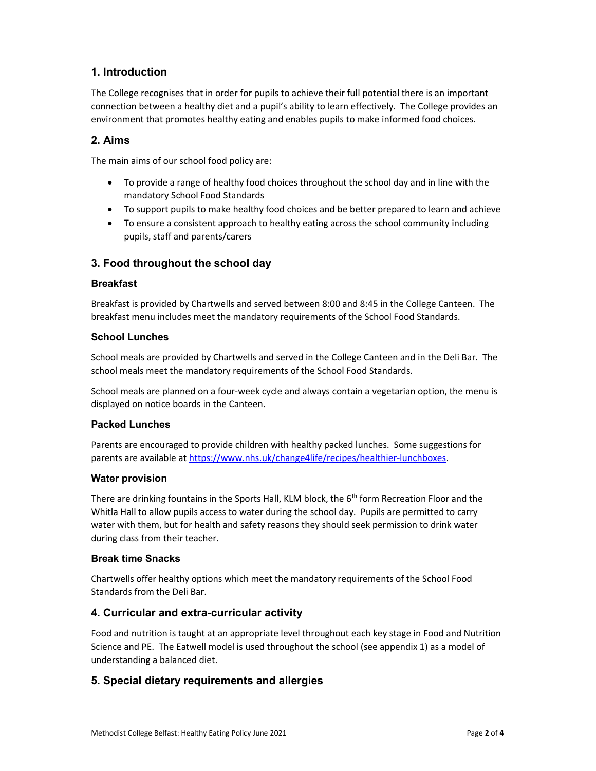# 1. Introduction

The College recognises that in order for pupils to achieve their full potential there is an important connection between a healthy diet and a pupil's ability to learn effectively. The College provides an environment that promotes healthy eating and enables pupils to make informed food choices.

## 2. Aims

The main aims of our school food policy are:

- To provide a range of healthy food choices throughout the school day and in line with the mandatory School Food Standards
- To support pupils to make healthy food choices and be better prepared to learn and achieve
- To ensure a consistent approach to healthy eating across the school community including pupils, staff and parents/carers

## 3. Food throughout the school day

## **Breakfast**

Breakfast is provided by Chartwells and served between 8:00 and 8:45 in the College Canteen. The breakfast menu includes meet the mandatory requirements of the School Food Standards.

#### School Lunches

School meals are provided by Chartwells and served in the College Canteen and in the Deli Bar. The school meals meet the mandatory requirements of the School Food Standards.

School meals are planned on a four-week cycle and always contain a vegetarian option, the menu is displayed on notice boards in the Canteen.

## Packed Lunches

Parents are encouraged to provide children with healthy packed lunches. Some suggestions for parents are available at https://www.nhs.uk/change4life/recipes/healthier-lunchboxes.

#### Water provision

There are drinking fountains in the Sports Hall, KLM block, the  $6<sup>th</sup>$  form Recreation Floor and the Whitla Hall to allow pupils access to water during the school day. Pupils are permitted to carry water with them, but for health and safety reasons they should seek permission to drink water during class from their teacher.

#### Break time Snacks

Chartwells offer healthy options which meet the mandatory requirements of the School Food Standards from the Deli Bar.

## 4. Curricular and extra-curricular activity

Food and nutrition is taught at an appropriate level throughout each key stage in Food and Nutrition Science and PE. The Eatwell model is used throughout the school (see appendix 1) as a model of understanding a balanced diet.

## 5. Special dietary requirements and allergies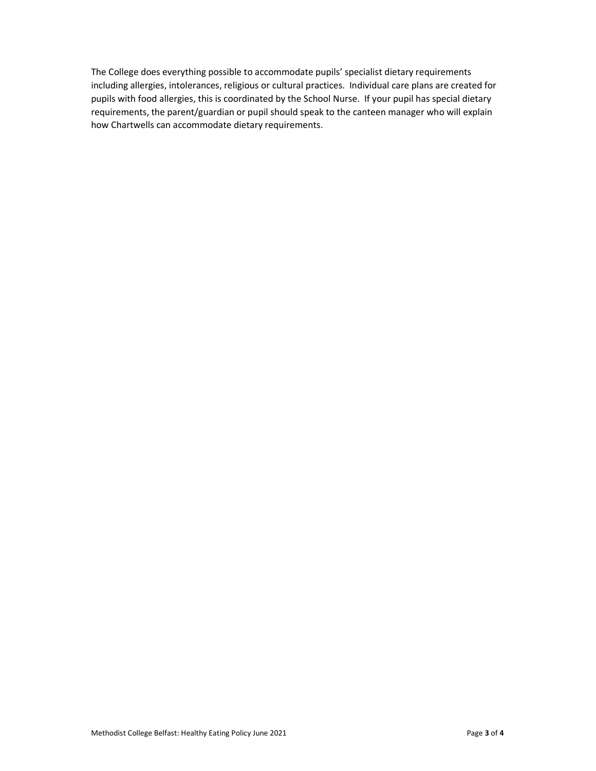The College does everything possible to accommodate pupils' specialist dietary requirements including allergies, intolerances, religious or cultural practices. Individual care plans are created for pupils with food allergies, this is coordinated by the School Nurse. If your pupil has special dietary requirements, the parent/guardian or pupil should speak to the canteen manager who will explain how Chartwells can accommodate dietary requirements.